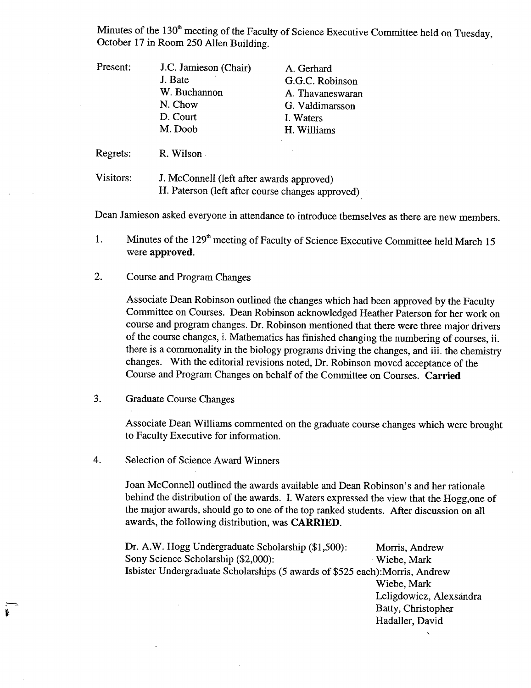Minutes of the 130<sup>th</sup> meeting of the Faculty of Science Executive Committee held on Tuesday, October 17 in Room 250 Allen Building.

| Present: | J.C. Jamieson (Chair) | A. Gerhard       |
|----------|-----------------------|------------------|
|          | J. Bate               | G.G.C. Robinson  |
|          | W. Buchannon          | A. Thavaneswaran |
|          | N. Chow               | G. Valdimarsson  |
|          | D. Court              | I. Waters        |
|          | M. Doob               | H. Williams      |
|          |                       |                  |

Regrets: R. Wilson

Visitors: J. McConnell (left after awards approved) H. Paterson (left after course changes approved)

Dean Jamieson asked everyone in attendance to introduce themselves as there are new members.

Minutes of the 129<sup>th</sup> meeting of Faculty of Science Executive Committee held March 15 1. were **approved.** 

2. Course and Program Changes

Associate Dean Robinson outlined the changes which had been approved by the Faculty Committee on Courses. Dean Robinson acknowledged Heather Paterson for her work on course and program changes. Dr. Robinson mentioned that there were three major drivers of the course changes, i. Mathematics has finished changing the numbering of courses, ii. there is a commonality in the biology programs driving the changes, and iii. the chemistry changes. With the editorial revisions noted, Dr. Robinson moved acceptance of the Course and Program Changes on behalf of the Committee on Courses. **Carried** 

 $3.$ Graduate Course Changes

> Associate Dean Williams commented on the graduate course changes which were brought to Faculty Executive for information.

 $4.$ Selection of Science Award Winners

> Joan McConnell outlined the awards available and Dean Robinson's and her rationale behind the distribution of the awards. I. Waters expressed the view that the Hogg,one of the major awards, should go to one of the top ranked students. After discussion on all awards, the following distribution, was **CARRIED.**

Dr. A.W. Hogg Undergraduate Scholarship (\$1,500): Morris, Andrew Sony Science Scholarship (\$2,000): Wiebe, Mark Isbister Undergraduate Scholarships *(5* awards of *\$525* each):Morris, Andrew Wiebe, Mark Leligdowicz, Alexsándra Batty, Christopher Hadaller, David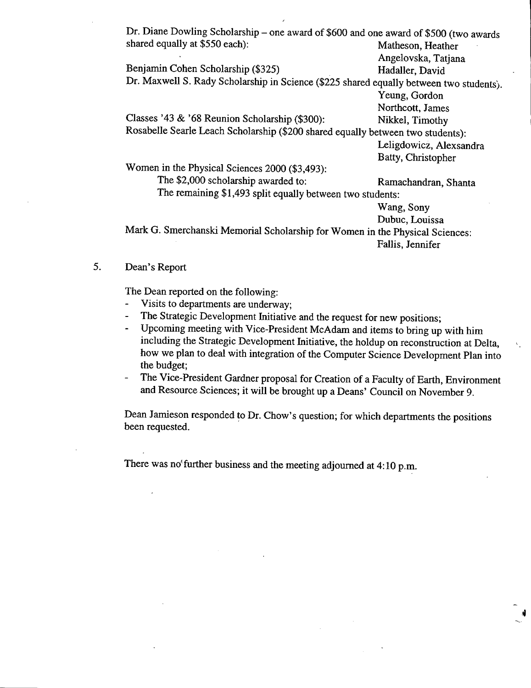| Dr. Diane Dowling Scholarship – one award of \$600 and one award of \$500 (two awards   |                         |  |  |
|-----------------------------------------------------------------------------------------|-------------------------|--|--|
| shared equally at \$550 each):                                                          | Matheson, Heather       |  |  |
|                                                                                         | Angelovska, Tatjana     |  |  |
| Benjamin Cohen Scholarship (\$325)                                                      | Hadaller, David         |  |  |
| Dr. Maxwell S. Rady Scholarship in Science (\$225 shared equally between two students). |                         |  |  |
|                                                                                         | Yeung, Gordon           |  |  |
|                                                                                         | Northcott, James        |  |  |
| Classes '43 & '68 Reunion Scholarship (\$300):                                          | Nikkel, Timothy         |  |  |
| Rosabelle Searle Leach Scholarship (\$200 shared equally between two students):         |                         |  |  |
|                                                                                         | Leligdowicz, Alexsandra |  |  |
|                                                                                         | Batty, Christopher      |  |  |
| Women in the Physical Sciences 2000 (\$3,493):                                          |                         |  |  |
| The \$2,000 scholarship awarded to:                                                     | Ramachandran, Shanta    |  |  |
| The remaining \$1,493 split equally between two students:                               |                         |  |  |
|                                                                                         | Wang, Sony              |  |  |
|                                                                                         | Dubuc, Louissa          |  |  |
| Mark G. Smerchanski Memorial Scholarship for Women in the Physical Sciences:            |                         |  |  |
|                                                                                         | Fallis, Jennifer        |  |  |
|                                                                                         |                         |  |  |

*5.* Dean's Report

The Dean reported on the following:

- Visits to departments are underway;
- The Strategic Development Initiative and the request for new positions;
- Upcoming meeting with Vice-President McAdam and items to bring up with him including the Strategic Development Initiative, the holdup on reconstruction at Delta, how we plan to deal with integration of the Computer Science Development Plan into the budget;
- The Vice-President Gardner proposal for Creation of a Faculty of Earth, Environment and Resource Sciences; it will be brought up a Deans' Council on November 9.

Dean Jamieson responded 10 Dr. Chow's question; for which departments the positions been requested.

There was no further business and the meeting adjourned at  $4:10$  p.m.